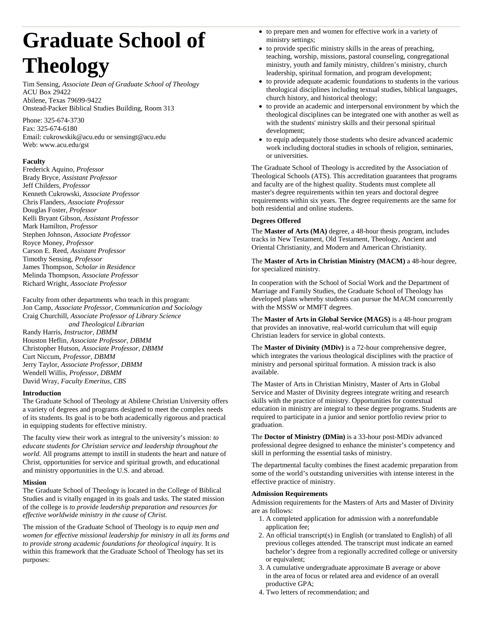# **Graduate School of Theology**

Tim Sensing, *Associate Dean of Graduate School of Theology* ACU Box 29422 Abilene, Texas 79699-9422 Onstead-Packer Biblical Studies Building, Room 313

Phone: 325-674-3730 Fax: 325-674-6180 Email: cukrowskik@acu.edu or sensingt@acu.edu Web: www.acu.edu/gst

# **Faculty**

Frederick Aquino, *Professor* Brady Bryce*, Assistant Professor* Jeff Childers, *Professor* Kenneth Cukrowski, *Associate Professor* Chris Flanders, *Associate Professor* Douglas Foster, *Professor* Kelli Bryant Gibson, *Assistant Professor* Mark Hamilton, *Professor* Stephen Johnson, *Associate Professor* Royce Money, *Professor* Carson E. Reed, *Assistant Professor* Timothy Sensing, *Professor* James Thompson, *Scholar in Residence* Melinda Thompson, *Associate Professor* Richard Wright, *Associate Professor*

Faculty from other departments who teach in this program: Jon Camp, *Associate Professor, Communication and Sociology* Craig Churchill, *Associate Professor of Library Science and Theological Librarian* Randy Harris, *Instructor, DBMM* Houston Heflin*, Associate Professor, DBMM* Christopher Hutson, *Associate Professor, DBMM* Curt Niccum, *Professor, DBMM* Jerry Taylor, *Associate Professor, DBMM* Wendell Willis, *Professor, DBMM*

#### **Introduction**

David Wray, *Faculty Emeritus, CBS*

The Graduate School of Theology at Abilene Christian University offers a variety of degrees and programs designed to meet the complex needs of its students. Its goal is to be both academically rigorous and practical in equipping students for effective ministry.

The faculty view their work as integral to the university's mission: *to educate students for Christian service and leadership throughout the world.* All programs attempt to instill in students the heart and nature of Christ, opportunities for service and spiritual growth, and educational and ministry opportunities in the U.S. and abroad.

## **Mission**

The Graduate School of Theology is located in the College of Biblical Studies and is vitally engaged in its goals and tasks. The stated mission of the college is *to provide leadership preparation and resources for effective worldwide ministry in the cause of Christ.*

The mission of the Graduate School of Theology is *to equip men and women for effective missional leadership for ministry in all its forms and to provide strong academic foundations for theological inquiry.* It is within this framework that the Graduate School of Theology has set its purposes:

- to prepare men and women for effective work in a variety of ministry settings;
- to provide specific ministry skills in the areas of preaching, teaching, worship, missions, pastoral counseling, congregational ministry, youth and family ministry, children's ministry, church leadership, spiritual formation, and program development;
- to provide adequate academic foundations to students in the various theological disciplines including textual studies, biblical languages, church history, and historical theology;
- to provide an academic and interpersonal environment by which the theological disciplines can be integrated one with another as well as with the students' ministry skills and their personal spiritual development;
- to equip adequately those students who desire advanced academic work including doctoral studies in schools of religion, seminaries, or universities.

The Graduate School of Theology is accredited by the Association of Theological Schools (ATS). This accreditation guarantees that programs and faculty are of the highest quality. Students must complete all master's degree requirements within ten years and doctoral degree requirements within six years. The degree requirements are the same for both residential and online students.

# **Degrees Offered**

The **Master of Arts (MA)** degree, a 48-hour thesis program, includes tracks in New Testament, Old Testament, Theology, Ancient and Oriental Christianity, and Modern and American Christianity.

The **Master of Arts in Christian Ministry (MACM)** a 48-hour degree, for specialized ministry.

In cooperation with the School of Social Work and the Department of Marriage and Family Studies, the Graduate School of Theology has developed plans whereby students can pursue the MACM concurrently with the MSSW or MMFT degrees.

The **Master of Arts in Global Service (MAGS)** is a 48-hour program that provides an innovative, real-world curriculum that will equip Christian leaders for service in global contexts.

The **Master of Divinity (MDiv)** is a 72-hour comprehensive degree, which integrates the various theological disciplines with the practice of ministry and personal spiritual formation. A mission track is also available.

The Master of Arts in Christian Ministry, Master of Arts in Global Service and Master of Divinity degrees integrate writing and research skills with the practice of ministry. Opportunities for contextual education in ministry are integral to these degree programs. Students are required to participate in a junior and senior portfolio review prior to graduation.

The **Doctor of Ministry (DMin)** is a 33-hour post-MDiv advanced professional degree designed to enhance the minister's competency and skill in performing the essential tasks of ministry.

The departmental faculty combines the finest academic preparation from some of the world's outstanding universities with intense interest in the effective practice of ministry.

## **Admission Requirements**

Admission requirements for the Masters of Arts and Master of Divinity are as follows:

- 1. A completed application for admission with a nonrefundable application fee;
- 2. An official transcript(s) in English (or translated to English) of all previous colleges attended. The transcript must indicate an earned bachelor's degree from a regionally accredited college or university or equivalent;
- 3. A cumulative undergraduate approximate B average or above in the area of focus or related area and evidence of an overall productive GPA;
- 4. Two letters of recommendation; and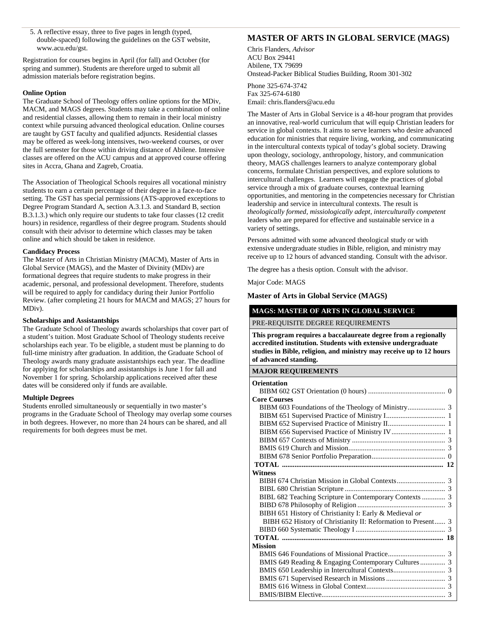5. A reflective essay, three to five pages in length (typed, double-spaced) following the guidelines on the GST website, www.acu.edu/gst.

Registration for courses begins in April (for fall) and October (for spring and summer). Students are therefore urged to submit all admission materials before registration begins.

#### **Online Option**

The Graduate School of Theology offers online options for the MDiv, MACM, and MAGS degrees. Students may take a combination of online and residential classes, allowing them to remain in their local ministry context while pursuing advanced theological education. Online courses are taught by GST faculty and qualified adjuncts. Residential classes may be offered as week-long intensives, two-weekend courses, or over the full semester for those within driving distance of Abilene. Intensive classes are offered on the ACU campus and at approved course offering sites in Accra, Ghana and Zagreb, Croatia.

The Association of Theological Schools requires all vocational ministry students to earn a certain percentage of their degree in a face-to-face setting. The GST has special permissions (ATS-approved exceptions to Degree Program Standard A, section A.3.1.3. and Standard B, section B.3.1.3.) which only require our students to take four classes (12 credit hours) in residence, regardless of their degree program. Students should consult with their advisor to determine which classes may be taken online and which should be taken in residence.

## **Candidacy Process**

The Master of Arts in Christian Ministry (MACM), Master of Arts in Global Service (MAGS), and the Master of Divinity (MDiv) are formational degrees that require students to make progress in their academic, personal, and professional development. Therefore, students will be required to apply for candidacy during their Junior Portfolio Review. (after completing 21 hours for MACM and MAGS; 27 hours for MDiv).

#### **Scholarships and Assistantships**

The Graduate School of Theology awards scholarships that cover part of a student's tuition. Most Graduate School of Theology students receive scholarships each year. To be eligible, a student must be planning to do full-time ministry after graduation. In addition, the Graduate School of Theology awards many graduate assistantships each year. The deadline for applying for scholarships and assistantships is June 1 for fall and November 1 for spring. Scholarship applications received after these dates will be considered only if funds are available.

#### **Multiple Degrees**

Students enrolled simultaneously or sequentially in two master's programs in the Graduate School of Theology may overlap some courses in both degrees. However, no more than 24 hours can be shared, and all requirements for both degrees must be met.

# **MASTER OF ARTS IN GLOBAL SERVICE (MAGS)**

Chris Flanders, *Advisor* ACU Box 29441 Abilene, TX 79699 Onstead-Packer Biblical Studies Building, Room 301-302

Phone 325-674-3742 Fax 325-674-6180 Email: chris.flanders@acu.edu

The Master of Arts in Global Service is a 48-hour program that provides an innovative, real-world curriculum that will equip Christian leaders for service in global contexts. It aims to serve learners who desire advanced education for ministries that require living, working, and communicating in the intercultural contexts typical of today's global society. Drawing upon theology, sociology, anthropology, history, and communication theory, MAGS challenges learners to analyze contemporary global concerns, formulate Christian perspectives, and explore solutions to intercultural challenges. Learners will engage the practices of global service through a mix of graduate courses, contextual learning opportunities, and mentoring in the competencies necessary for Christian leadership and service in intercultural contexts. The result is *theologically formed, missiologically adept, interculturally competent* leaders who are prepared for effective and sustainable service in a variety of settings.

Persons admitted with some advanced theological study or with extensive undergraduate studies in Bible, religion, and ministry may receive up to 12 hours of advanced standing. Consult with the advisor.

The degree has a thesis option. Consult with the advisor.

Major Code: MAGS

# **Master of Arts in Global Service (MAGS)**

## **MAGS: MASTER OF ARTS IN GLOBAL SERVICE**

PRE-REQUISITE DEGREE REQUIREMENTS

**This program requires a baccalaureate degree from a regionally accredited institution. Students with extensive undergraduate studies in Bible, religion, and ministry may receive up to 12 hours of advanced standing.**

#### **MAJOR REQUIREMENTS**

| <b>Orientation</b>                                            |  |
|---------------------------------------------------------------|--|
|                                                               |  |
| <b>Core Courses</b>                                           |  |
|                                                               |  |
|                                                               |  |
|                                                               |  |
|                                                               |  |
|                                                               |  |
|                                                               |  |
|                                                               |  |
|                                                               |  |
| <b>Witness</b>                                                |  |
|                                                               |  |
|                                                               |  |
| BIBL 682 Teaching Scripture in Contemporary Contexts  3       |  |
|                                                               |  |
| BIBH 651 History of Christianity I: Early & Medieval or       |  |
| BIBH 652 History of Christianity II: Reformation to Present 3 |  |
|                                                               |  |
|                                                               |  |
| <b>Mission</b>                                                |  |
|                                                               |  |
|                                                               |  |
|                                                               |  |
|                                                               |  |
|                                                               |  |
|                                                               |  |